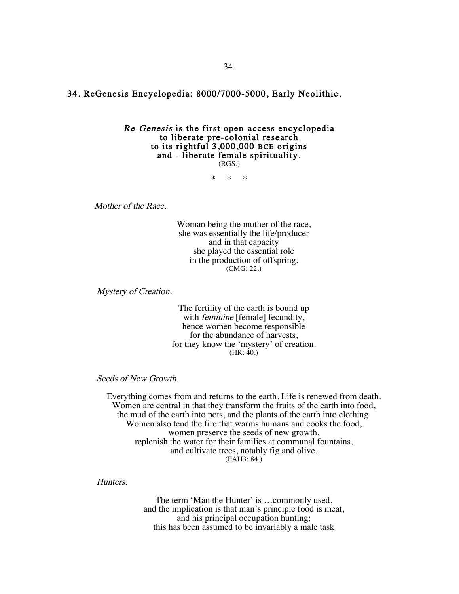## 34. ReGenesis Encyclopedia: 8000/7000-5000, Early Neolithic.

## Re-Genesis is the first open-access encyclopedia to liberate pre-colonial research to its rightful 3,000,000 BCE origins and - liberate female spirituality. (RGS.)

\* \* \*

Mother of the Race.

Woman being the mother of the race, she was essentially the life/producer and in that capacity she played the essential role in the production of offspring. (CMG: 22.)

Mystery of Creation.

The fertility of the earth is bound up with *feminine* [female] fecundity, hence women become responsible for the abundance of harvests, for they know the 'mystery' of creation.  $(HR: 40.)$ 

Seeds of New Growth.

Everything comes from and returns to the earth. Life is renewed from death. Women are central in that they transform the fruits of the earth into food, the mud of the earth into pots, and the plants of the earth into clothing. Women also tend the fire that warms humans and cooks the food, women preserve the seeds of new growth, replenish the water for their families at communal fountains, and cultivate trees, notably fig and olive. (FAH3: 84.)

## Hunters.

The term 'Man the Hunter' is …commonly used, and the implication is that man's principle food is meat, and his principal occupation hunting; this has been assumed to be invariably a male task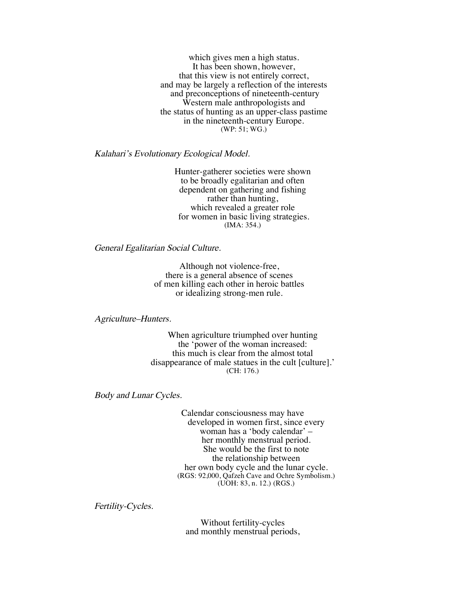which gives men a high status. It has been shown, however, that this view is not entirely correct, and may be largely a reflection of the interests and preconceptions of nineteenth-century Western male anthropologists and the status of hunting as an upper-class pastime in the nineteenth-century Europe. (WP: 51; WG.)

Kalahari's Evolutionary Ecological Model.

Hunter-gatherer societies were shown to be broadly egalitarian and often dependent on gathering and fishing rather than hunting, which revealed a greater role for women in basic living strategies. (IMA: 354.)

General Egalitarian Social Culture.

Although not violence-free, there is a general absence of scenes of men killing each other in heroic battles or idealizing strong-men rule.

Agriculture–Hunters.

When agriculture triumphed over hunting the 'power of the woman increased: this much is clear from the almost total disappearance of male statues in the cult [culture].' (CH: 176.)

Body and Lunar Cycles.

Calendar consciousness may have developed in women first, since every woman has a 'body calendar' – her monthly menstrual period. She would be the first to note the relationship between her own body cycle and the lunar cycle. (RGS: 92,000, Qafzeh Cave and Ochre Symbolism.) (UOH: 83, n. 12.) (RGS.)

Fertility-Cycles.

Without fertility-cycles and monthly menstrual periods,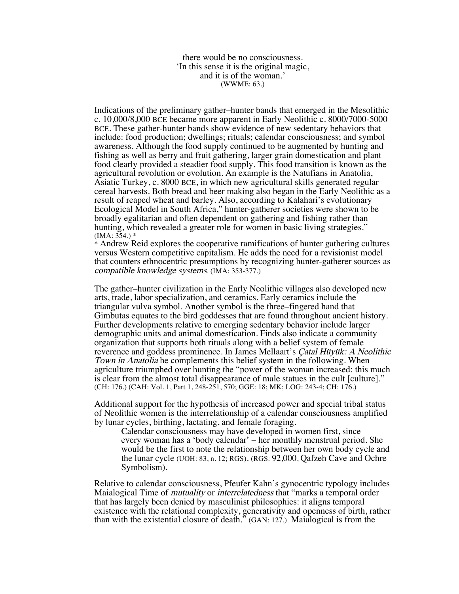there would be no consciousness. 'In this sense it is the original magic, and it is of the woman.' (WWME: 63.)

Indications of the preliminary gather–hunter bands that emerged in the Mesolithic c. 10,000/8,000 BCE became more apparent in Early Neolithic c. 8000/7000-5000 BCE. These gather-hunter bands show evidence of new sedentary behaviors that include: food production; dwellings; rituals; calendar consciousness; and symbol awareness. Although the food supply continued to be augmented by hunting and fishing as well as berry and fruit gathering, larger grain domestication and plant food clearly provided a steadier food supply. This food transition is known as the agricultural revolution or evolution. An example is the Natufians in Anatolia, Asiatic Turkey, c. 8000 BCE, in which new agricultural skills generated regular cereal harvests. Both bread and beer making also began in the Early Neolithic as a result of reaped wheat and barley. Also, according to Kalahari's evolutionary Ecological Model in South Africa," hunter-gatherer societies were shown to be broadly egalitarian and often dependent on gathering and fishing rather than hunting, which revealed a greater role for women in basic living strategies."  $(IMA: 354.)$  \*

\* Andrew Reid explores the cooperative ramifications of hunter gathering cultures versus Western competitive capitalism. He adds the need for a revisionist model that counters ethnocentric presumptions by recognizing hunter-gatherer sources as compatible knowledge systems. (IMA: 353-377.)

The gather–hunter civilization in the Early Neolithic villages also developed new arts, trade, labor specialization, and ceramics. Early ceramics include the triangular vulva symbol. Another symbol is the three–fingered hand that Gimbutas equates to the bird goddesses that are found throughout ancient history. Further developments relative to emerging sedentary behavior include larger demographic units and animal domestication. Finds also indicate a community organization that supports both rituals along with a belief system of female reverence and goddess prominence. In James Mellaart's Çatal Hüyük: A Neolithic Town in Anatolia he complements this belief system in the following. When agriculture triumphed over hunting the "power of the woman increased: this much is clear from the almost total disappearance of male statues in the cult [culture]." (CH: 176.) (CAH: Vol. 1, Part 1, 248-251, 570; GGE: 18; MK; LOG: 243-4; CH: 176.)

Additional support for the hypothesis of increased power and special tribal status of Neolithic women is the interrelationship of a calendar consciousness amplified by lunar cycles, birthing, lactating, and female foraging.

Calendar consciousness may have developed in women first, since every woman has a 'body calendar' – her monthly menstrual period. She would be the first to note the relationship between her own body cycle and the lunar cycle (UOH: 83, n. 12; RGS). (RGS: 92,000, Qafzeh Cave and Ochre Symbolism).

Relative to calendar consciousness, Pfeufer Kahn's gynocentric typology includes Maialogical Time of *mutuality* or *interrelatedness* that "marks a temporal order that has largely been denied by masculinist philosophies: it aligns temporal existence with the relational complexity, generativity and openness of birth, rather than with the existential closure of death." (GAN: 127.) Maialogical is from the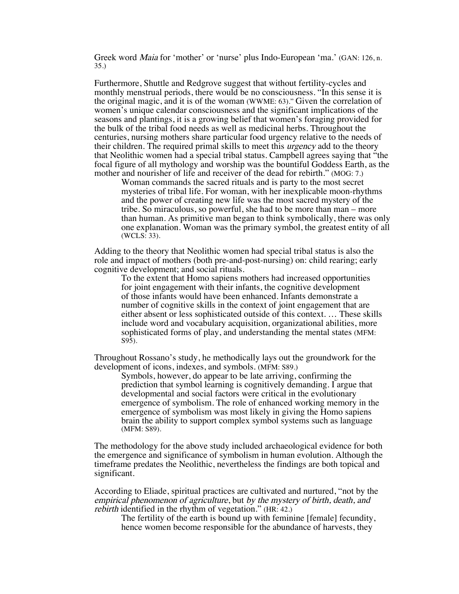Greek word Maia for 'mother' or 'nurse' plus Indo-European 'ma.' (GAN: 126, n. 35.)

Furthermore, Shuttle and Redgrove suggest that without fertility-cycles and monthly menstrual periods, there would be no consciousness. "In this sense it is the original magic, and it is of the woman (WWME: 63)." Given the correlation of women's unique calendar consciousness and the significant implications of the seasons and plantings, it is a growing belief that women's foraging provided for the bulk of the tribal food needs as well as medicinal herbs. Throughout the centuries, nursing mothers share particular food urgency relative to the needs of their children. The required primal skills to meet this *urgency* add to the theory that Neolithic women had a special tribal status. Campbell agrees saying that "the focal figure of all mythology and worship was the bountiful Goddess Earth, as the mother and nourisher of life and receiver of the dead for rebirth." (MOG: 7.)

Woman commands the sacred rituals and is party to the most secret mysteries of tribal life. For woman, with her inexplicable moon-rhythms and the power of creating new life was the most sacred mystery of the tribe. So miraculous, so powerful, she had to be more than man – more than human. As primitive man began to think symbolically, there was only one explanation. Woman was the primary symbol, the greatest entity of all (WCLS: 33).

Adding to the theory that Neolithic women had special tribal status is also the role and impact of mothers (both pre-and-post-nursing) on: child rearing; early cognitive development; and social rituals.

To the extent that Homo sapiens mothers had increased opportunities for joint engagement with their infants, the cognitive development of those infants would have been enhanced. Infants demonstrate a number of cognitive skills in the context of joint engagement that are either absent or less sophisticated outside of this context. … These skills include word and vocabulary acquisition, organizational abilities, more sophisticated forms of play, and understanding the mental states (MFM: S95).

Throughout Rossano's study, he methodically lays out the groundwork for the development of icons, indexes, and symbols. (MFM: S89.)

Symbols, however, do appear to be late arriving, confirming the prediction that symbol learning is cognitively demanding. I argue that developmental and social factors were critical in the evolutionary emergence of symbolism. The role of enhanced working memory in the emergence of symbolism was most likely in giving the Homo sapiens brain the ability to support complex symbol systems such as language (MFM: S89).

The methodology for the above study included archaeological evidence for both the emergence and significance of symbolism in human evolution. Although the timeframe predates the Neolithic, nevertheless the findings are both topical and significant.

According to Eliade, spiritual practices are cultivated and nurtured, "not by the empirical phenomenon of agriculture, but by the mystery of birth, death, and rebirth identified in the rhythm of vegetation." (HR: 42.)

The fertility of the earth is bound up with feminine [female] fecundity, hence women become responsible for the abundance of harvests, they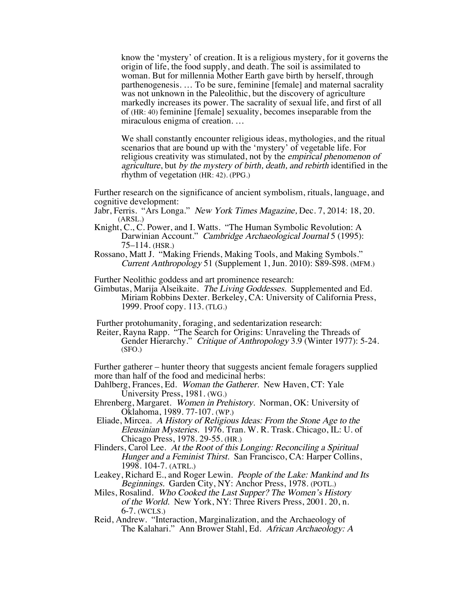know the 'mystery' of creation. It is a religious mystery, for it governs the origin of life, the food supply, and death. The soil is assimilated to woman. But for millennia Mother Earth gave birth by herself, through parthenogenesis. … To be sure, feminine [female] and maternal sacrality was not unknown in the Paleolithic, but the discovery of agriculture markedly increases its power. The sacrality of sexual life, and first of all of (HR: 40) feminine [female] sexuality, becomes inseparable from the miraculous enigma of creation. …

We shall constantly encounter religious ideas, mythologies, and the ritual scenarios that are bound up with the 'mystery' of vegetable life. For religious creativity was stimulated, not by the empirical phenomenon of agriculture, but by the mystery of birth, death, and rebirth identified in the rhythm of vegetation (HR: 42). (PPG.)

Further research on the significance of ancient symbolism, rituals, language, and cognitive development:

Jabr, Ferris. "Ars Longa." New York Times Magazine, Dec. 7, 2014: 18, 20. (ARSL.)

- Knight, C., C. Power, and I. Watts. "The Human Symbolic Revolution: A Darwinian Account." Cambridge Archaeological Journal 5 (1995): 75–114. (HSR.)
- Rossano, Matt J. "Making Friends, Making Tools, and Making Symbols." Current Anthropology 51 (Supplement 1, Jun. 2010): S89-S98. (MFM.)

Further Neolithic goddess and art prominence research:

Gimbutas, Marija Alseikaite. The Living Goddesses. Supplemented and Ed. Miriam Robbins Dexter. Berkeley, CA: University of California Press, 1999. Proof copy. 113. (TLG.)

Further protohumanity, foraging, and sedentarization research:

Reiter, Rayna Rapp. "The Search for Origins: Unraveling the Threads of Gender Hierarchy." Critique of Anthropology 3.9 (Winter 1977): 5-24. (SFO.)

Further gatherer – hunter theory that suggests ancient female foragers supplied more than half of the food and medicinal herbs:

Dahlberg, Frances, Ed. Woman the Gatherer. New Haven, CT: Yale University Press, 1981. (WG.)

- Ehrenberg, Margaret. Women in Prehistory. Norman, OK: University of Oklahoma, 1989. 77-107. (WP.)
- Eliade, Mircea. A History of Religious Ideas: From the Stone Age to the Eleusinian Mysteries. 1976. Tran. W. R. Trask. Chicago, IL: U. of Chicago Press, 1978. 29-55. (HR.)
- Flinders, Carol Lee. At the Root of this Longing: Reconciling a Spiritual Hunger and a Feminist Thirst. San Francisco, CA: Harper Collins, 1998. 104-7. (ATRL.)
- Leakey, Richard E., and Roger Lewin. People of the Lake: Mankind and Its Beginnings. Garden City, NY: Anchor Press, 1978. (POTL.)
- Miles, Rosalind. Who Cooked the Last Supper? The Women's History of the World. New York, NY: Three Rivers Press, 2001. 20, n. 6-7. (WCLS.)
- Reid, Andrew. "Interaction, Marginalization, and the Archaeology of The Kalahari." Ann Brower Stahl, Ed. African Archaeology: A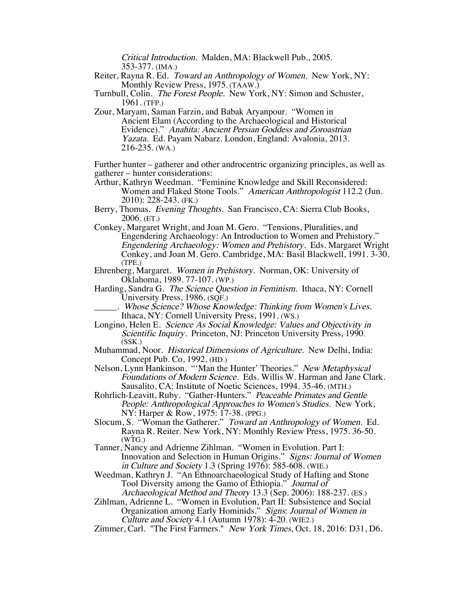Critical Introduction. Malden, MA: Blackwell Pub., 2005. 353-377. (IMA.)

Reiter, Rayna R. Ed. Toward an Anthropology of Women. New York, NY: Monthly Review Press, 1975. (TAAW.)

Turnbull, Colin. The Forest People. New York, NY: Simon and Schuster, 1961. (TFP.)

Zour, Maryam, Saman Farzin, and Babak Aryanpour. "Women in Ancient Elam (According to the Archaeological and Historical Evidence)." Anahita: Ancient Persian Goddess and Zoroastrian Yazata. Ed. Payam Nabarz. London, England: Avalonia, 2013. 216-235. (WA.)

Further hunter – gatherer and other androcentric organizing principles, as well as gatherer – hunter considerations:

- Arthur, Kathryn Weedman. "Feminine Knowledge and Skill Reconsidered: Women and Flaked Stone Tools." American Anthropologist 112.2 (Jun. 2010): 228-243. (FK.)
- Berry, Thomas. Evening Thoughts. San Francisco, CA: Sierra Club Books, 2006. (ET.)
- Conkey, Margaret Wright, and Joan M. Gero. "Tensions, Pluralities, and Engendering Archaeology: An Introduction to Women and Prehistory." Engendering Archaeology: Women and Prehistory. Eds. Margaret Wright Conkey, and Joan M. Gero. Cambridge, MA: Basil Blackwell, 1991. 3-30. (TPE.)
- Ehrenberg, Margaret. Women in Prehistory. Norman, OK: University of Oklahoma, 1989. 77-107. (WP.)
- Harding, Sandra G. The Science Question in Feminism. Ithaca, NY: Cornell University Press, 1986. (SQF.)

Whose Science? Whose Knowledge: Thinking from Women's Lives. Ithaca, NY: Cornell University Press, 1991. (WS.)

- Longino, Helen E. Science As Social Knowledge: Values and Objectivity in Scientific Inquiry. Princeton, NJ: Princeton University Press, 1990. (SSK.)
- Muhammad, Noor. Historical Dimensions of Agriculture. New Delhi, India: Concept Pub. Co, 1992. (HD.)

Nelson, Lynn Hankinson. "'Man the Hunter' Theories." New Metaphysical Foundations of Modern Science. Eds. Willis W. Harman and Jane Clark. Sausalito, CA: Institute of Noetic Sciences, 1994. 35-46. (MTH.)

- Rohrlich-Leavitt, Ruby. "Gather-Hunters." Peaceable Primates and Gentle People: Anthropological Approaches to Women's Studies. New York, NY: Harper & Row, 1975: 17-38. (PPG.)
- Slocum, S. "Woman the Gatherer." Toward an Anthropology of Women. Ed. Rayna R. Reiter. New York, NY: Monthly Review Press, 1975. 36-50. (WTG.)
- Tanner, Nancy and Adrienne Zihlman. "Women in Evolution. Part I: Innovation and Selection in Human Origins." Signs: Journal of Women in Culture and Society 1.3 (Spring 1976): 585-608. (WIE.)
- Weedman, Kathryn J. "An Ethnoarchaeological Study of Hafting and Stone Tool Diversity among the Gamo of Ethiopia." Journal of Archaeological Method and Theory 13.3 (Sep. 2006): 188-237. (ES.)
- Zihlman, Adrienne L. "Women in Evolution, Part II: Subsistence and Social Organization among Early Hominids." Signs: Journal of Women in Culture and Society 4.1 (Autumn 1978): 4-20. (WIE2.)
- Zimmer, Carl. "The First Farmers." New York Times, Oct. 18, 2016: D31, D6.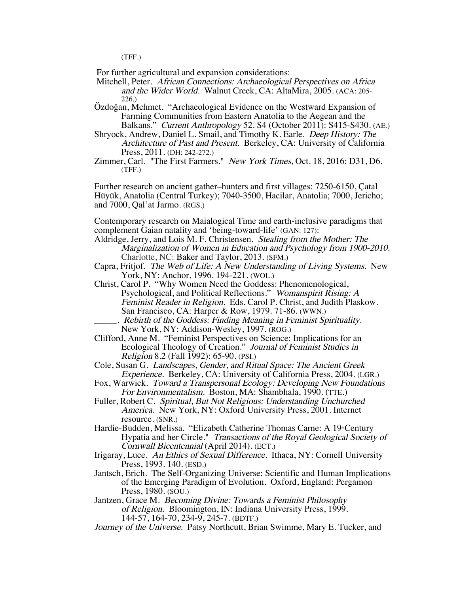(TFF.)

For further agricultural and expansion considerations:

Mitchell, Peter. African Connections: Archaeological Perspectives on Africa and the Wider World. Walnut Creek, CA: AltaMira, 2005. (ACA: 205- 226.)

Özdoğan, Mehmet. "Archaeological Evidence on the Westward Expansion of Farming Communities from Eastern Anatolia to the Aegean and the Balkans." Current Anthropology 52. S4 (October 2011): S415-S430. (AE.)

- Shryock, Andrew, Daniel L. Smail, and Timothy K. Earle. Deep History: The Architecture of Past and Present. Berkeley, CA: University of California Press, 2011. (DH: 242-272.)
- Zimmer, Carl. "The First Farmers." New York Times, Oct. 18, 2016: D31, D6. (TFF.)

Further research on ancient gather–hunters and first villages: 7250-6150, Çatal Hüyük, Anatolia (Central Turkey); 7040-3500, Hacilar, Anatolia; 7000, Jericho; and 7000, Qal'at Jarmo. (RGS.)

Contemporary research on Maialogical Time and earth-inclusive paradigms that complement Gaian natality and 'being-toward-life' (GAN: 127):

- Aldridge, Jerry, and Lois M. F. Christensen. Stealing from the Mother: The Marginalization of Women in Education and Psychology from 1900-2010. Charlotte, NC: Baker and Taylor, 2013. (SFM.)
- Capra, Fritjof. The Web of Life: A New Understanding of Living Systems. New York, NY: Anchor, 1996. 194-221. (WOL.)
- Christ, Carol P. "Why Women Need the Goddess: Phenomenological, Psychological, and Political Reflections." Womanspirit Rising: A Feminist Reader in Religion. Eds. Carol P. Christ, and Judith Plaskow. San Francisco, CA: Harper & Row, 1979. 71-86. (WWN.) Rebirth of the Goddess: Finding Meaning in Feminist Spirituality.
- New York, NY: Addison-Wesley, 1997. (ROG.)
- Clifford, Anne M. "Feminist Perspectives on Science: Implications for an Ecological Theology of Creation." Journal of Feminist Studies in Religion 8.2 (Fall 1992): 65-90. (PSI.)
- Cole, Susan G. Landscapes, Gender, and Ritual Space: The Ancient Greek Experience. Berkeley, CA: University of California Press, 2004. (LGR.)
- Fox, Warwick. Toward a Transpersonal Ecology: Developing New Foundations For Environmentalism. Boston, MA: Shambhala, 1990. (TTE.)
- Fuller, Robert C. Spiritual, But Not Religious: Understanding Unchurched America. New York, NY: Oxford University Press, 2001. Internet resource. (SNR.)
- Hardie-Budden, Melissa. "Elizabeth Catherine Thomas Carne: A 19<sup>th</sup> Century Hypatia and her Circle." Transactions of the Royal Geological Society of Cornwall Bicentennial (April 2014). (ECT.)
- Irigaray, Luce. An Ethics of Sexual Difference. Ithaca, NY: Cornell University Press, 1993. 140. (ESD.)
- Jantsch, Erich. The Self-Organizing Universe: Scientific and Human Implications of the Emerging Paradigm of Evolution. Oxford, England: Pergamon Press, 1980. (SOU.)

Jantzen, Grace M. Becoming Divine: Towards a Feminist Philosophy of Religion. Bloomington, IN: Indiana University Press, 1999. 144-57, 164-70, 234-9, 245-7. (BDTF.)

Journey of the Universe. Patsy Northcutt, Brian Swimme, Mary E. Tucker, and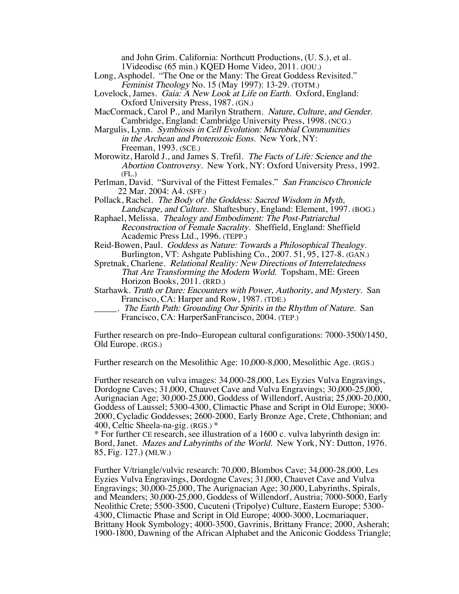and John Grim. California: Northcutt Productions, (U. S.), et al. 1Videodisc (65 min.) KQED Home Video, 2011. (JOU.)

- Long, Asphodel. "The One or the Many: The Great Goddess Revisited." Feminist Theology No. 15 (May 1997): 13-29. (TOTM.)
- Lovelock, James. Gaia: A New Look at Life on Earth. Oxford, England: Oxford University Press, 1987. (GN.)
- MacCormack, Carol P., and Marilyn Strathern. Nature, Culture, and Gender. Cambridge, England: Cambridge University Press, 1998. (NCG.)
- Margulis, Lynn. Symbiosis in Cell Evolution: Microbial Communities in the Archean and Proterozoic Eons. New York, NY: Freeman, 1993. (SCE.)
- Morowitz, Harold J., and James S. Trefil. The Facts of Life: Science and the Abortion Controversy. New York, NY: Oxford University Press, 1992. (FL.)
- Perlman, David. "Survival of the Fittest Females." San Francisco Chronicle 22 Mar. 2004: A4. (SFF.)
- Pollack, Rachel. The Body of the Goddess: Sacred Wisdom in Myth, Landscape, and Culture. Shaftesbury, England: Element, 1997. (BOG.)
- Raphael, Melissa. Thealogy and Embodiment: The Post-Patriarchal Reconstruction of Female Sacrality. Sheffield, England: Sheffield Academic Press Ltd., 1996. (TEPP.)
- Reid-Bowen, Paul. Goddess as Nature: Towards a Philosophical Thealogy. Burlington, VT: Ashgate Publishing Co., 2007. 51, 95, 127-8. (GAN.)
- Spretnak, Charlene. Relational Reality: New Directions of Interrelatedness That Are Transforming the Modern World. Topsham, ME: Green Horizon Books, 2011. (RRD.)
- Starhawk. Truth or Dare: Encounters with Power, Authority, and Mystery. San Francisco, CA: Harper and Row, 1987. (TDE.)
- . The Earth Path: Grounding Our Spirits in the Rhythm of Nature. San Francisco, CA: HarperSanFrancisco, 2004. (TEP.)

Further research on pre-Indo–European cultural configurations: 7000-3500/1450, Old Europe. (RGS.)

Further research on the Mesolithic Age: 10,000-8,000, Mesolithic Age. (RGS.)

Further research on vulva images: 34,000-28,000, Les Eyzies Vulva Engravings, Dordogne Caves; 31,000, Chauvet Cave and Vulva Engravings; 30,000-25,000, Aurignacian Age; 30,000-25,000, Goddess of Willendorf, Austria; 25,000-20,000, Goddess of Laussel; 5300-4300, Climactic Phase and Script in Old Europe; 3000- 2000, Cycladic Goddesses; 2600-2000, Early Bronze Age, Crete, Chthonian; and 400, Celtic Sheela-na-gig. (RGS.) \*

\* For further CE research, see illustration of a 1600 c. vulva labyrinth design in: Bord, Janet. Mazes and Labyrinths of the World. New York, NY: Dutton, 1976. 85, Fig. 127.) (MLW.)

Further V/triangle/vulvic research: 70,000, Blombos Cave; 34,000-28,000, Les Eyzies Vulva Engravings, Dordogne Caves; 31,000, Chauvet Cave and Vulva Engravings; 30,000-25,000, The Aurignacian Age; 30,000, Labyrinths, Spirals, and Meanders; 30,000-25,000, Goddess of Willendorf, Austria; 7000-5000, Early Neolithic Crete; 5500-3500, Cucuteni (Tripolye) Culture, Eastern Europe; 5300-4300, Climactic Phase and Script in Old Europe; 4000-3000, Locmariaquer, Brittany Hook Symbology; 4000-3500, Gavrinis, Brittany France; 2000, Asherah; 1900-1800, Dawning of the African Alphabet and the Aniconic Goddess Triangle;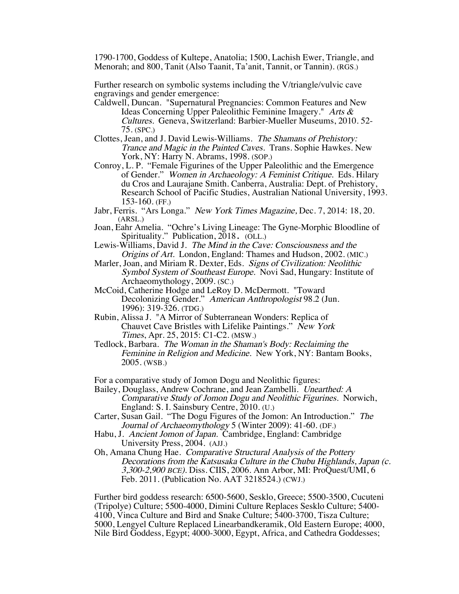1790-1700, Goddess of Kultepe, Anatolia; 1500, Lachish Ewer, Triangle, and Menorah; and 800, Tanit (Also Taanit, Ta'anit, Tannit, or Tannin). (RGS.)

Further research on symbolic systems including the V/triangle/vulvic cave engravings and gender emergence:

- Caldwell, Duncan. "Supernatural Pregnancies: Common Features and New Ideas Concerning Upper Paleolithic Feminine Imagery." Arts & Cultures. Geneva, Switzerland: Barbier-Mueller Museums, 2010. 52- 75. (SPC.)
- Clottes, Jean, and J. David Lewis-Williams. The Shamans of Prehistory: Trance and Magic in the Painted Caves. Trans. Sophie Hawkes. New York, NY: Harry N. Abrams, 1998. (SOP.)
- Conroy, L. P. "Female Figurines of the Upper Paleolithic and the Emergence of Gender." Women in Archaeology: A Feminist Critique. Eds. Hilary du Cros and Laurajane Smith. Canberra, Australia: Dept. of Prehistory, Research School of Pacific Studies, Australian National University, 1993. 153-160. (FF.)
- Jabr, Ferris. "Ars Longa." New York Times Magazine, Dec. 7, 2014: 18, 20. (ARSL.)
- Joan, Eahr Amelia. "Ochre's Living Lineage: The Gyne-Morphic Bloodline of Spirituality." Publication, 2018. (OLL.)
- Lewis-Williams, David J. The Mind in the Cave: Consciousness and the Origins of Art. London, England: Thames and Hudson, 2002. (MIC.)
- Marler, Joan, and Miriam R. Dexter, Eds. Signs of Civilization: Neolithic Symbol System of Southeast Europe. Novi Sad, Hungary: Institute of Archaeomythology, 2009. (SC.)
- McCoid, Catherine Hodge and LeRoy D. McDermott. "Toward Decolonizing Gender." American Anthropologist 98.2 (Jun. 1996): 319-326. (TDG.)
- Rubin, Alissa J. "A Mirror of Subterranean Wonders: Replica of Chauvet Cave Bristles with Lifelike Paintings." New York Times, Apr. 25, 2015: C1-C2. (MSW.)
- Tedlock, Barbara. The Woman in the Shaman's Body: Reclaiming the Feminine in Religion and Medicine. New York, NY: Bantam Books, 2005. (WSB.)

For a comparative study of Jomon Dogu and Neolithic figures:

- Bailey, Douglass, Andrew Cochrane, and Jean Zambelli. Unearthed: A Comparative Study of Jomon Dogu and Neolithic Figurines. Norwich, England: S. I. Sainsbury Centre, 2010. (U.)
- Carter, Susan Gail. "The Dogu Figures of the Jomon: An Introduction." The Journal of Archaeomythology 5 (Winter 2009): 41-60. (DF.)
- Habu, J. Ancient Jomon of Japan. Cambridge, England: Cambridge University Press, 2004. (AJJ.)
- Oh, Amana Chung Hae. Comparative Structural Analysis of the Pottery Decorations from the Katsusaka Culture in the Chubu Highlands, Japan (c. 3,300-2,900 BCE). Diss. CIIS, 2006. Ann Arbor, MI: ProQuest/UMI, 6 Feb. 2011. (Publication No. AAT 3218524.) (CWJ.)

Further bird goddess research: 6500-5600, Sesklo, Greece; 5500-3500, Cucuteni  $(4100, \text{V}$  Vinca Culture and Bird and Snake Culture; 5400-3700, Tisza Culture; 5000, Lengyel Culture Replaced Linearbandkeramik, Old Eastern Europe; 4000, Nile Bird Goddess, Egypt; 4000-3000, Egypt, Africa, and Cathedra Goddesses;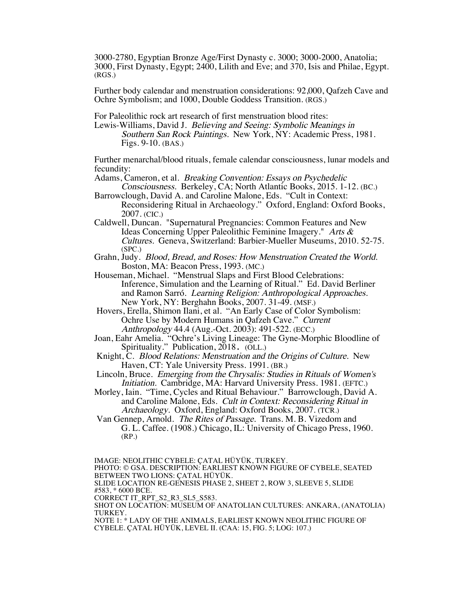3000-2780, Egyptian Bronze Age/First Dynasty c. 3000; 3000-2000, Anatolia; 3000, First Dynasty, Egypt; 2400, Lilith and Eve; and 370, Isis and Philae, Egypt. (RGS.)

Further body calendar and menstruation considerations: 92,000, Qafzeh Cave and Ochre Symbolism; and 1000, Double Goddess Transition. (RGS.)

For Paleolithic rock art research of first menstruation blood rites:

Lewis-Williams, David J. Believing and Seeing: Symbolic Meanings in Southern San Rock Paintings. New York, NY: Academic Press, 1981. Figs. 9-10. (BAS.)

Further menarchal/blood rituals, female calendar consciousness, lunar models and fecundity:

Adams, Cameron, et al. Breaking Convention: Essays on Psychedelic Consciousness. Berkeley, CA; North Atlantic Books, 2015. 1-12. (BC.)

- Barrowclough, David A. and Caroline Malone, Eds. "Cult in Context: Reconsidering Ritual in Archaeology." Oxford, England: Oxford Books, 2007. (CIC.)
- Caldwell, Duncan. "Supernatural Pregnancies: Common Features and New Ideas Concerning Upper Paleolithic Feminine Imagery." Arts & Cultures. Geneva, Switzerland: Barbier-Mueller Museums, 2010. 52-75. (SPC.)
- Grahn, Judy. Blood, Bread, and Roses: How Menstruation Created the World. Boston, MA: Beacon Press, 1993. (MC.)
- Houseman, Michael. "Menstrual Slaps and First Blood Celebrations: Inference, Simulation and the Learning of Ritual." Ed. David Berliner and Ramon Sarró. Learning Religion: Anthropological Approaches. New York, NY: Berghahn Books, 2007. 31-49. (MSF.)

Hovers, Erella, Shimon Ilani, et al. "An Early Case of Color Symbolism: Ochre Use by Modern Humans in Qafzeh Cave." Current Anthropology 44.4 (Aug.-Oct. 2003): 491-522. (ECC.)

Joan, Eahr Amelia. "Ochre's Living Lineage: The Gyne-Morphic Bloodline of Spirituality." Publication, 2018. (OLL.)

- Knight, C. Blood Relations: Menstruation and the Origins of Culture. New Haven, CT: Yale University Press. 1991. (BR.)
- Lincoln, Bruce. Emerging from the Chrysalis: Studies in Rituals of Women's Initiation. Cambridge, MA: Harvard University Press. 1981. (EFTC.)
- Morley, Iain. "Time, Cycles and Ritual Behaviour." Barrowclough, David A. and Caroline Malone, Eds. Cult in Context: Reconsidering Ritual in Archaeology. Oxford, England: Oxford Books, 2007. (TCR.)

Van Gennep, Arnold. The Rites of Passage. Trans. M. B. Vizedom and G. L. Caffee. (1908.) Chicago, IL: University of Chicago Press, 1960. (RP.)

IMAGE: NEOLITHIC CYBELE: ÇATAL HÜYÜK, TURKEY. PHOTO: © GSA. DESCRIPTION: EARLIEST KNOWN FIGURE OF CYBELE, SEATED BETWEEN TWO LIONS: ÇATAL HÜYÜK. SLIDE LOCATION RE-GENESIS PHASE 2, SHEET 2, ROW 3, SLEEVE 5, SLIDE #583, \* 6000 BCE. CORRECT IT\_RPT\_S2\_R3\_SL5\_S583. SHOT ON LOCATION: MUSEUM OF ANATOLIAN CULTURES: ANKARA, (ANATOLIA) TURKEY. NOTE 1: \* LADY OF THE ANIMALS, EARLIEST KNOWN NEOLITHIC FIGURE OF CYBELE. ÇATAL HÜYÜK, LEVEL II. (CAA: 15, FIG. 5; LOG: 107.)